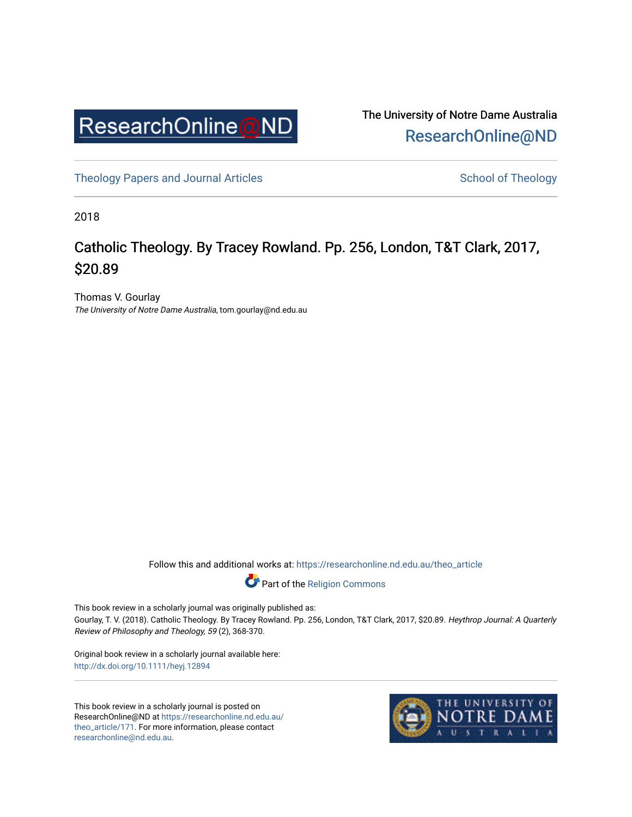

The University of Notre Dame Australia [ResearchOnline@ND](https://researchonline.nd.edu.au/) 

[Theology Papers and Journal Articles](https://researchonline.nd.edu.au/theo_article) and [School of Theology](https://researchonline.nd.edu.au/theo) School of Theology

2018

# Catholic Theology. By Tracey Rowland. Pp. 256, London, T&T Clark, 2017, \$20.89

Thomas V. Gourlay The University of Notre Dame Australia, tom.gourlay@nd.edu.au

Follow this and additional works at: [https://researchonline.nd.edu.au/theo\\_article](https://researchonline.nd.edu.au/theo_article?utm_source=researchonline.nd.edu.au%2Ftheo_article%2F171&utm_medium=PDF&utm_campaign=PDFCoverPages) 



This book review in a scholarly journal was originally published as: Gourlay, T. V. (2018). Catholic Theology. By Tracey Rowland. Pp. 256, London, T&T Clark, 2017, \$20.89. Heythrop Journal: A Quarterly Review of Philosophy and Theology, 59 (2), 368-370.

Original book review in a scholarly journal available here: <http://dx.doi.org/10.1111/heyj.12894>

This book review in a scholarly journal is posted on ResearchOnline@ND at [https://researchonline.nd.edu.au/](https://researchonline.nd.edu.au/theo_article/171) [theo\\_article/171](https://researchonline.nd.edu.au/theo_article/171). For more information, please contact [researchonline@nd.edu.au.](mailto:researchonline@nd.edu.au)

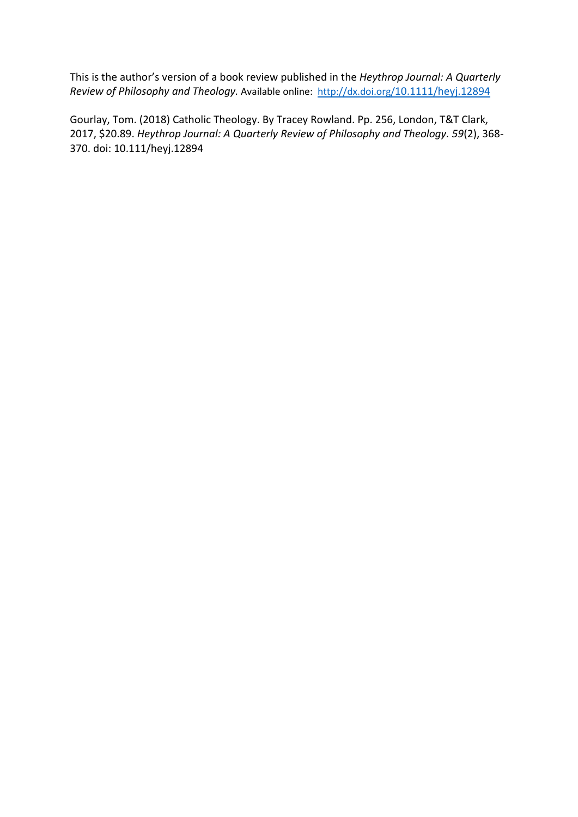This is the author's version of a book review published in the *Heythrop Journal: A Quarterly Review of Philosophy and Theology.* Available online: <http://dx.doi.org/10.1111/heyj.12894>

Gourlay, Tom. (2018) Catholic Theology. By Tracey Rowland. Pp. 256, London, T&T Clark, 2017, \$20.89. *Heythrop Journal: A Quarterly Review of Philosophy and Theology. 59*(2), 368- 370. doi: 10.111/heyj.12894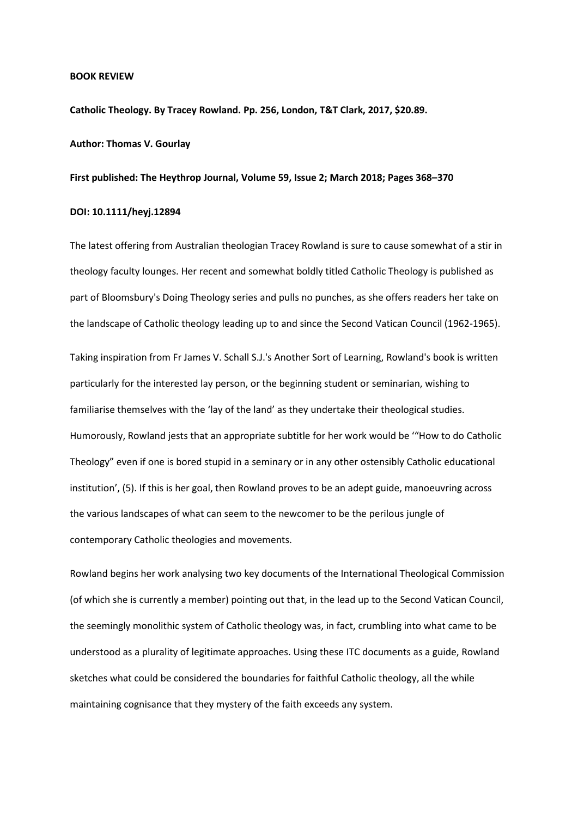#### **BOOK REVIEW**

**Catholic Theology. By Tracey Rowland. Pp. 256, London, T&T Clark, 2017, \$20.89.**

### **Author: Thomas V. Gourlay**

## **First published: The Heythrop Journal, Volume 59, Issue 2; March 2018; Pages 368–370**

### **DOI: 10.1111/heyj.12894**

The latest offering from Australian theologian Tracey Rowland is sure to cause somewhat of a stir in theology faculty lounges. Her recent and somewhat boldly titled Catholic Theology is published as part of Bloomsbury's Doing Theology series and pulls no punches, as she offers readers her take on the landscape of Catholic theology leading up to and since the Second Vatican Council (1962-1965).

Taking inspiration from Fr James V. Schall S.J.'s Another Sort of Learning, Rowland's book is written particularly for the interested lay person, or the beginning student or seminarian, wishing to familiarise themselves with the 'lay of the land' as they undertake their theological studies. Humorously, Rowland jests that an appropriate subtitle for her work would be '"How to do Catholic Theology" even if one is bored stupid in a seminary or in any other ostensibly Catholic educational institution', (5). If this is her goal, then Rowland proves to be an adept guide, manoeuvring across the various landscapes of what can seem to the newcomer to be the perilous jungle of contemporary Catholic theologies and movements.

Rowland begins her work analysing two key documents of the International Theological Commission (of which she is currently a member) pointing out that, in the lead up to the Second Vatican Council, the seemingly monolithic system of Catholic theology was, in fact, crumbling into what came to be understood as a plurality of legitimate approaches. Using these ITC documents as a guide, Rowland sketches what could be considered the boundaries for faithful Catholic theology, all the while maintaining cognisance that they mystery of the faith exceeds any system.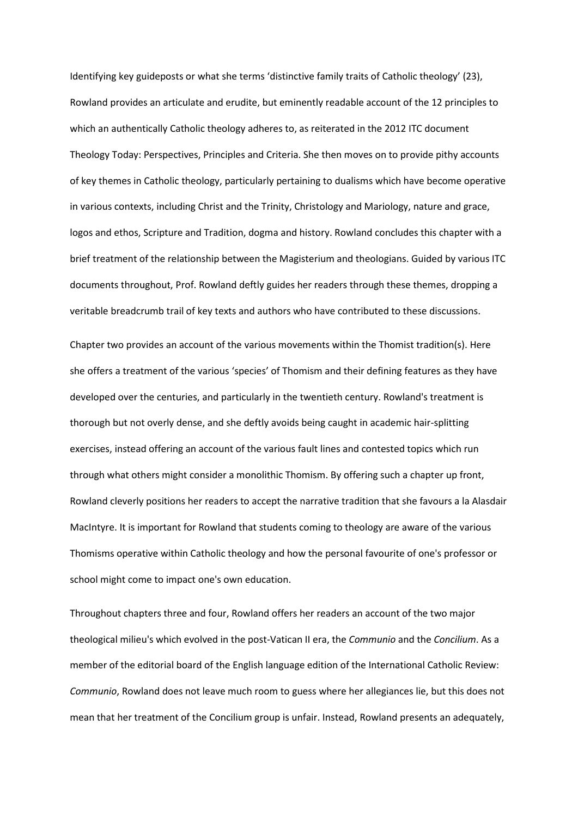Identifying key guideposts or what she terms 'distinctive family traits of Catholic theology' (23), Rowland provides an articulate and erudite, but eminently readable account of the 12 principles to which an authentically Catholic theology adheres to, as reiterated in the 2012 ITC document Theology Today: Perspectives, Principles and Criteria. She then moves on to provide pithy accounts of key themes in Catholic theology, particularly pertaining to dualisms which have become operative in various contexts, including Christ and the Trinity, Christology and Mariology, nature and grace, logos and ethos, Scripture and Tradition, dogma and history. Rowland concludes this chapter with a brief treatment of the relationship between the Magisterium and theologians. Guided by various ITC documents throughout, Prof. Rowland deftly guides her readers through these themes, dropping a veritable breadcrumb trail of key texts and authors who have contributed to these discussions.

Chapter two provides an account of the various movements within the Thomist tradition(s). Here she offers a treatment of the various 'species' of Thomism and their defining features as they have developed over the centuries, and particularly in the twentieth century. Rowland's treatment is thorough but not overly dense, and she deftly avoids being caught in academic hair-splitting exercises, instead offering an account of the various fault lines and contested topics which run through what others might consider a monolithic Thomism. By offering such a chapter up front, Rowland cleverly positions her readers to accept the narrative tradition that she favours a la Alasdair MacIntyre. It is important for Rowland that students coming to theology are aware of the various Thomisms operative within Catholic theology and how the personal favourite of one's professor or school might come to impact one's own education.

Throughout chapters three and four, Rowland offers her readers an account of the two major theological milieu's which evolved in the post-Vatican II era, the *Communio* and the *Concilium*. As a member of the editorial board of the English language edition of the International Catholic Review: *Communio*, Rowland does not leave much room to guess where her allegiances lie, but this does not mean that her treatment of the Concilium group is unfair. Instead, Rowland presents an adequately,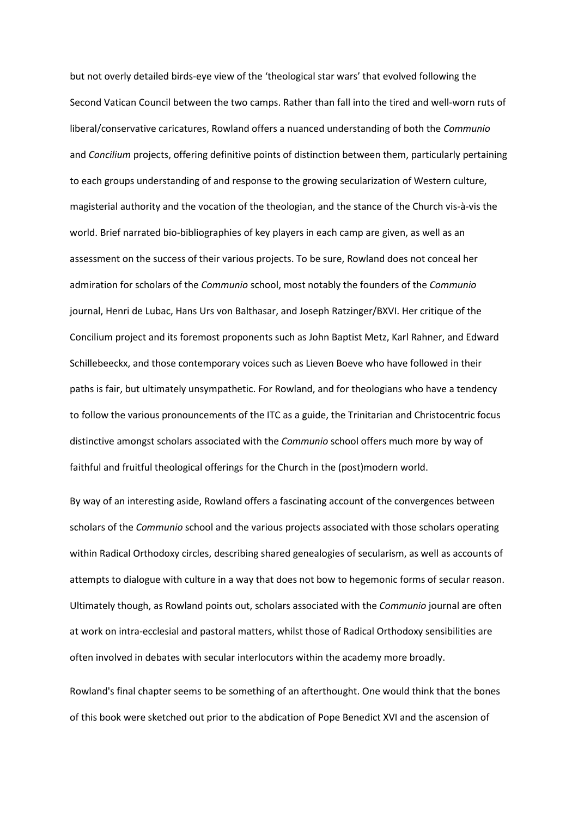but not overly detailed birds-eye view of the 'theological star wars' that evolved following the Second Vatican Council between the two camps. Rather than fall into the tired and well-worn ruts of liberal/conservative caricatures, Rowland offers a nuanced understanding of both the *Communio* and *Concilium* projects, offering definitive points of distinction between them, particularly pertaining to each groups understanding of and response to the growing secularization of Western culture, magisterial authority and the vocation of the theologian, and the stance of the Church vis-à-vis the world. Brief narrated bio-bibliographies of key players in each camp are given, as well as an assessment on the success of their various projects. To be sure, Rowland does not conceal her admiration for scholars of the *Communio* school, most notably the founders of the *Communio* journal, Henri de Lubac, Hans Urs von Balthasar, and Joseph Ratzinger/BXVI. Her critique of the Concilium project and its foremost proponents such as John Baptist Metz, Karl Rahner, and Edward Schillebeeckx, and those contemporary voices such as Lieven Boeve who have followed in their paths is fair, but ultimately unsympathetic. For Rowland, and for theologians who have a tendency to follow the various pronouncements of the ITC as a guide, the Trinitarian and Christocentric focus distinctive amongst scholars associated with the *Communio* school offers much more by way of faithful and fruitful theological offerings for the Church in the (post)modern world.

By way of an interesting aside, Rowland offers a fascinating account of the convergences between scholars of the *Communio* school and the various projects associated with those scholars operating within Radical Orthodoxy circles, describing shared genealogies of secularism, as well as accounts of attempts to dialogue with culture in a way that does not bow to hegemonic forms of secular reason. Ultimately though, as Rowland points out, scholars associated with the *Communio* journal are often at work on intra-ecclesial and pastoral matters, whilst those of Radical Orthodoxy sensibilities are often involved in debates with secular interlocutors within the academy more broadly.

Rowland's final chapter seems to be something of an afterthought. One would think that the bones of this book were sketched out prior to the abdication of Pope Benedict XVI and the ascension of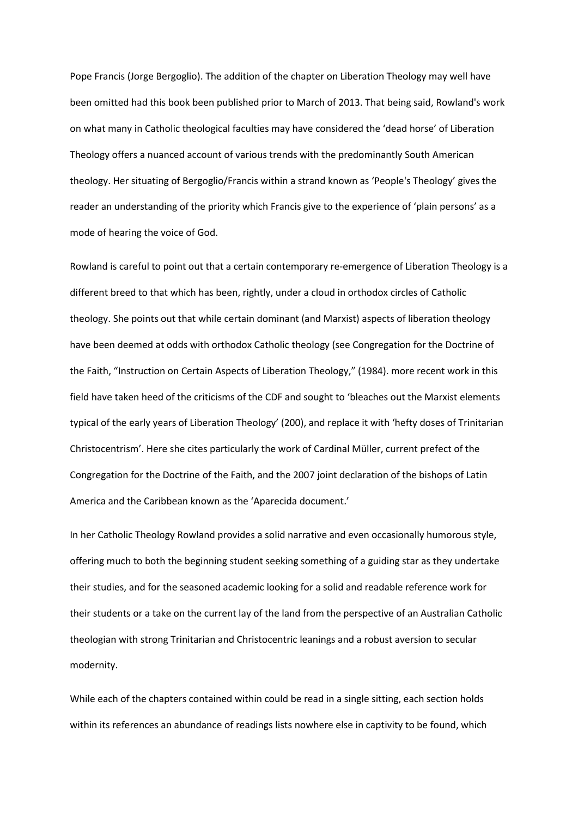Pope Francis (Jorge Bergoglio). The addition of the chapter on Liberation Theology may well have been omitted had this book been published prior to March of 2013. That being said, Rowland's work on what many in Catholic theological faculties may have considered the 'dead horse' of Liberation Theology offers a nuanced account of various trends with the predominantly South American theology. Her situating of Bergoglio/Francis within a strand known as 'People's Theology' gives the reader an understanding of the priority which Francis give to the experience of 'plain persons' as a mode of hearing the voice of God.

Rowland is careful to point out that a certain contemporary re-emergence of Liberation Theology is a different breed to that which has been, rightly, under a cloud in orthodox circles of Catholic theology. She points out that while certain dominant (and Marxist) aspects of liberation theology have been deemed at odds with orthodox Catholic theology (see Congregation for the Doctrine of the Faith, "Instruction on Certain Aspects of Liberation Theology," (1984). more recent work in this field have taken heed of the criticisms of the CDF and sought to 'bleaches out the Marxist elements typical of the early years of Liberation Theology' (200), and replace it with 'hefty doses of Trinitarian Christocentrism'. Here she cites particularly the work of Cardinal Müller, current prefect of the Congregation for the Doctrine of the Faith, and the 2007 joint declaration of the bishops of Latin America and the Caribbean known as the 'Aparecida document.'

In her Catholic Theology Rowland provides a solid narrative and even occasionally humorous style, offering much to both the beginning student seeking something of a guiding star as they undertake their studies, and for the seasoned academic looking for a solid and readable reference work for their students or a take on the current lay of the land from the perspective of an Australian Catholic theologian with strong Trinitarian and Christocentric leanings and a robust aversion to secular modernity.

While each of the chapters contained within could be read in a single sitting, each section holds within its references an abundance of readings lists nowhere else in captivity to be found, which